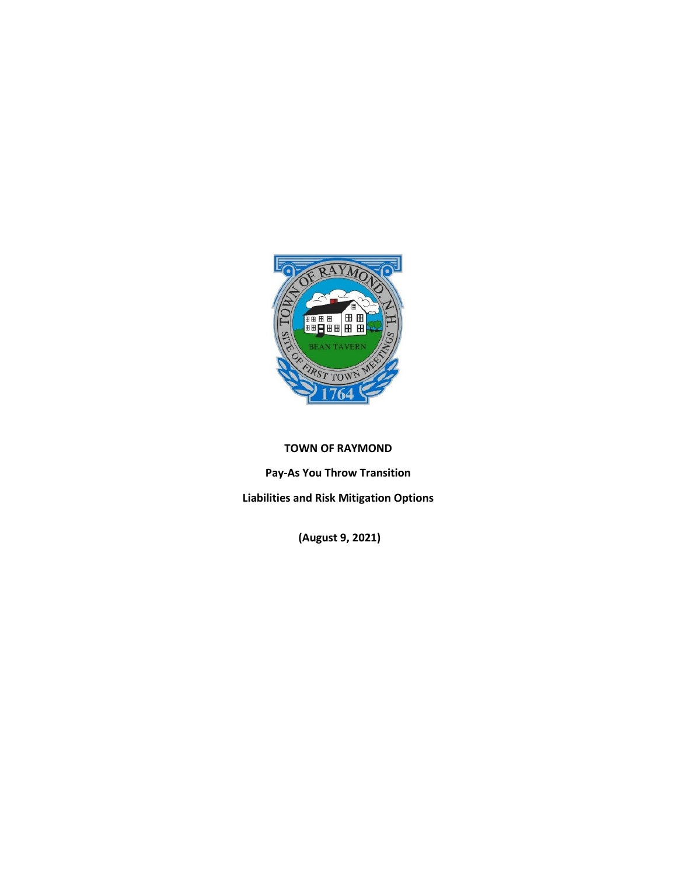

## **TOWN OF RAYMOND**

**Pay-As You Throw Transition** 

**Liabilities and Risk Mitigation Options**

**(August 9, 2021)**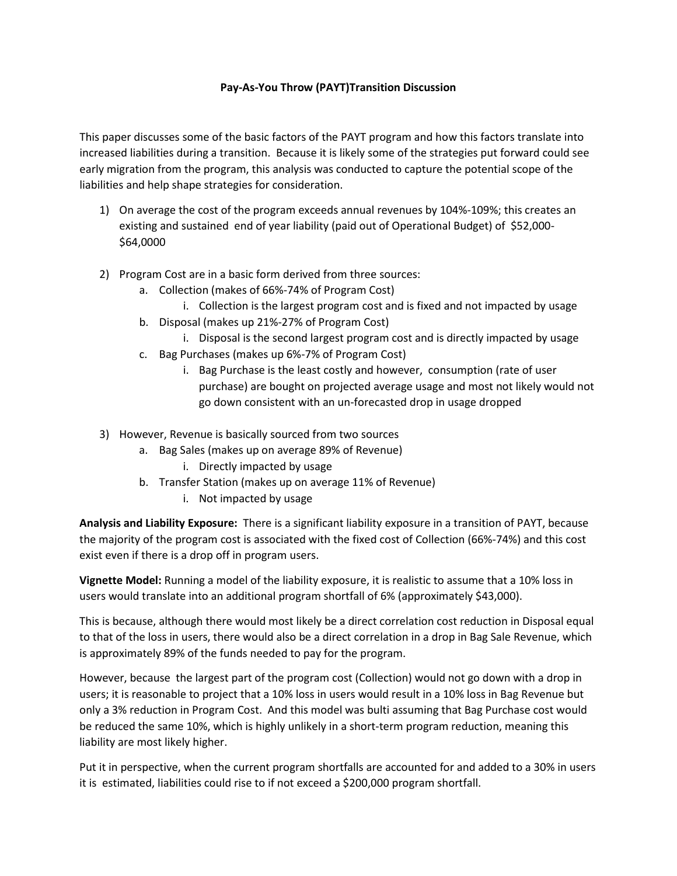## **Pay-As-You Throw (PAYT)Transition Discussion**

This paper discusses some of the basic factors of the PAYT program and how this factors translate into increased liabilities during a transition. Because it is likely some of the strategies put forward could see early migration from the program, this analysis was conducted to capture the potential scope of the liabilities and help shape strategies for consideration.

- 1) On average the cost of the program exceeds annual revenues by 104%-109%; this creates an existing and sustained end of year liability (paid out of Operational Budget) of \$52,000- \$64,0000
- 2) Program Cost are in a basic form derived from three sources:
	- a. Collection (makes of 66%-74% of Program Cost)
		- i. Collection is the largest program cost and is fixed and not impacted by usage
	- b. Disposal (makes up 21%-27% of Program Cost)
		- i. Disposal is the second largest program cost and is directly impacted by usage
	- c. Bag Purchases (makes up 6%-7% of Program Cost)
		- i. Bag Purchase is the least costly and however, consumption (rate of user purchase) are bought on projected average usage and most not likely would not go down consistent with an un-forecasted drop in usage dropped
- 3) However, Revenue is basically sourced from two sources
	- a. Bag Sales (makes up on average 89% of Revenue)
		- i. Directly impacted by usage
	- b. Transfer Station (makes up on average 11% of Revenue)
		- i. Not impacted by usage

**Analysis and Liability Exposure:** There is a significant liability exposure in a transition of PAYT, because the majority of the program cost is associated with the fixed cost of Collection (66%-74%) and this cost exist even if there is a drop off in program users.

**Vignette Model:** Running a model of the liability exposure, it is realistic to assume that a 10% loss in users would translate into an additional program shortfall of 6% (approximately \$43,000).

This is because, although there would most likely be a direct correlation cost reduction in Disposal equal to that of the loss in users, there would also be a direct correlation in a drop in Bag Sale Revenue, which is approximately 89% of the funds needed to pay for the program.

However, because the largest part of the program cost (Collection) would not go down with a drop in users; it is reasonable to project that a 10% loss in users would result in a 10% loss in Bag Revenue but only a 3% reduction in Program Cost. And this model was bulti assuming that Bag Purchase cost would be reduced the same 10%, which is highly unlikely in a short-term program reduction, meaning this liability are most likely higher.

Put it in perspective, when the current program shortfalls are accounted for and added to a 30% in users it is estimated, liabilities could rise to if not exceed a \$200,000 program shortfall.